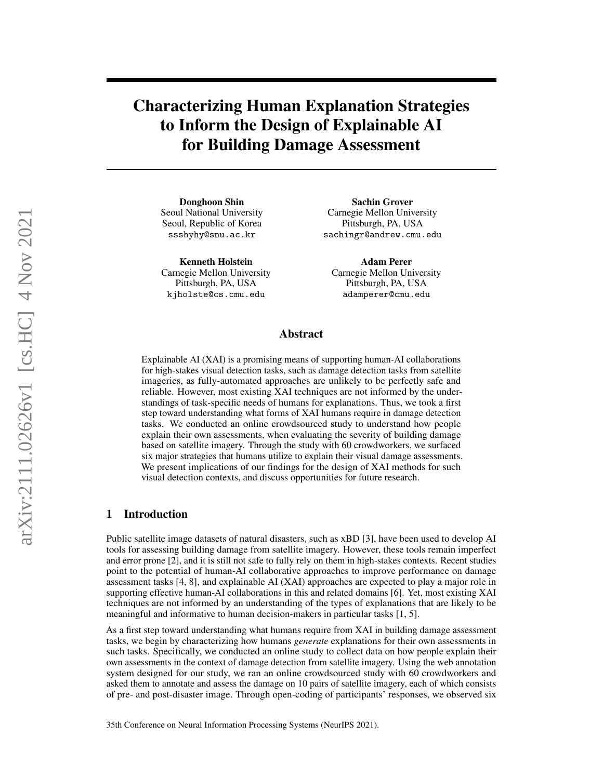# Characterizing Human Explanation Strategies to Inform the Design of Explainable AI for Building Damage Assessment

Donghoon Shin Seoul National University Seoul, Republic of Korea [ssshyhy@snu.ac.kr](mailto:ssshyhy@snu.ac.kr)

Kenneth Holstein Carnegie Mellon University Pittsburgh, PA, USA [kjholste@cs.cmu.edu](mailto:kjholste@cs.cmu.edu)

Sachin Grover Carnegie Mellon University Pittsburgh, PA, USA [sachingr@andrew.cmu.edu](mailto:sachingr@andrew.cmu.edu)

Adam Perer Carnegie Mellon University Pittsburgh, PA, USA [adamperer@cmu.edu](mailto:adamperer@cmu.edu)

## Abstract

Explainable AI (XAI) is a promising means of supporting human-AI collaborations for high-stakes visual detection tasks, such as damage detection tasks from satellite imageries, as fully-automated approaches are unlikely to be perfectly safe and reliable. However, most existing XAI techniques are not informed by the understandings of task-specific needs of humans for explanations. Thus, we took a first step toward understanding what forms of XAI humans require in damage detection tasks. We conducted an online crowdsourced study to understand how people explain their own assessments, when evaluating the severity of building damage based on satellite imagery. Through the study with 60 crowdworkers, we surfaced six major strategies that humans utilize to explain their visual damage assessments. We present implications of our findings for the design of XAI methods for such visual detection contexts, and discuss opportunities for future research.

## 1 Introduction

Public satellite image datasets of natural disasters, such as xBD [\[3\]](#page-4-0), have been used to develop AI tools for assessing building damage from satellite imagery. However, these tools remain imperfect and error prone [\[2\]](#page-4-1), and it is still not safe to fully rely on them in high-stakes contexts. Recent studies point to the potential of human-AI collaborative approaches to improve performance on damage assessment tasks [\[4,](#page-4-2) [8\]](#page-5-0), and explainable AI (XAI) approaches are expected to play a major role in supporting effective human-AI collaborations in this and related domains [\[6\]](#page-5-1). Yet, most existing XAI techniques are not informed by an understanding of the types of explanations that are likely to be meaningful and informative to human decision-makers in particular tasks [\[1,](#page-4-3) [5\]](#page-4-4).

As a first step toward understanding what humans require from XAI in building damage assessment tasks, we begin by characterizing how humans *generate* explanations for their own assessments in such tasks. Specifically, we conducted an online study to collect data on how people explain their own assessments in the context of damage detection from satellite imagery. Using the web annotation system designed for our study, we ran an online crowdsourced study with 60 crowdworkers and asked them to annotate and assess the damage on 10 pairs of satellite imagery, each of which consists of pre- and post-disaster image. Through open-coding of participants' responses, we observed six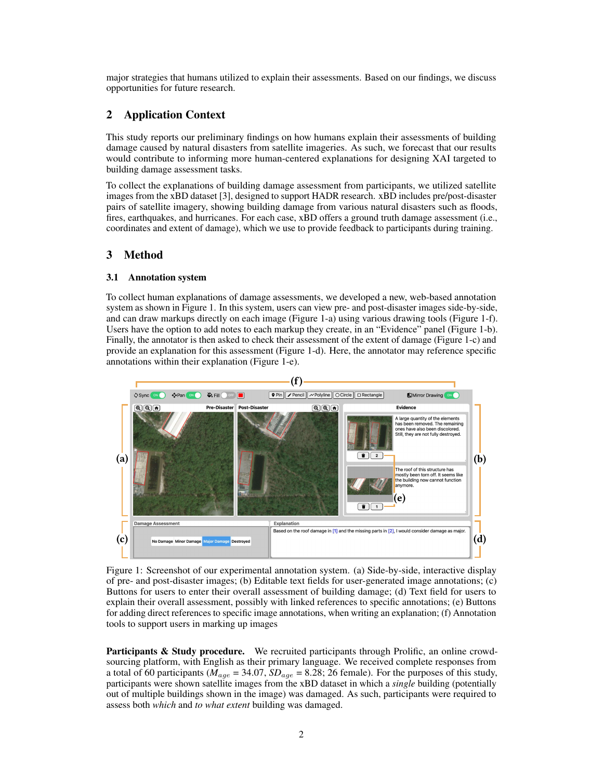major strategies that humans utilized to explain their assessments. Based on our findings, we discuss opportunities for future research.

# 2 Application Context

This study reports our preliminary findings on how humans explain their assessments of building damage caused by natural disasters from satellite imageries. As such, we forecast that our results would contribute to informing more human-centered explanations for designing XAI targeted to building damage assessment tasks.

To collect the explanations of building damage assessment from participants, we utilized satellite images from the xBD dataset [\[3\]](#page-4-0), designed to support HADR research. xBD includes pre/post-disaster pairs of satellite imagery, showing building damage from various natural disasters such as floods, fires, earthquakes, and hurricanes. For each case, xBD offers a ground truth damage assessment (i.e., coordinates and extent of damage), which we use to provide feedback to participants during training.

## 3 Method

#### 3.1 Annotation system

To collect human explanations of damage assessments, we developed a new, web-based annotation system as shown in Figure [1.](#page-1-0) In this system, users can view pre- and post-disaster images side-by-side, and can draw markups directly on each image (Figure [1-](#page-1-0)a) using various drawing tools (Figure [1-](#page-1-0)f). Users have the option to add notes to each markup they create, in an "Evidence" panel (Figure [1-](#page-1-0)b). Finally, the annotator is then asked to check their assessment of the extent of damage (Figure [1-](#page-1-0)c) and provide an explanation for this assessment (Figure [1-](#page-1-0)d). Here, the annotator may reference specific annotations within their explanation (Figure [1-](#page-1-0)e).

<span id="page-1-0"></span>

Figure 1: Screenshot of our experimental annotation system. (a) Side-by-side, interactive display of pre- and post-disaster images; (b) Editable text fields for user-generated image annotations; (c) Buttons for users to enter their overall assessment of building damage; (d) Text field for users to explain their overall assessment, possibly with linked references to specific annotations; (e) Buttons for adding direct references to specific image annotations, when writing an explanation; (f) Annotation tools to support users in marking up images

**Participants & Study procedure.** We recruited participants through Prolific, an online crowdsourcing platform, with English as their primary language. We received complete responses from a total of 60 participants ( $M_{age} = 34.07$ ,  $SD_{age} = 8.28$ ; 26 female). For the purposes of this study, participants were shown satellite images from the xBD dataset in which a *single* building (potentially out of multiple buildings shown in the image) was damaged. As such, participants were required to assess both *which* and *to what extent* building was damaged.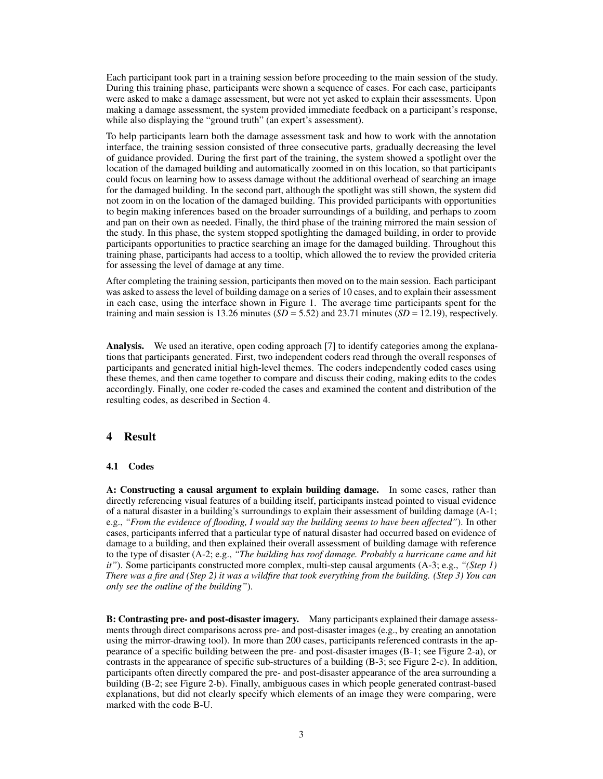Each participant took part in a training session before proceeding to the main session of the study. During this training phase, participants were shown a sequence of cases. For each case, participants were asked to make a damage assessment, but were not yet asked to explain their assessments. Upon making a damage assessment, the system provided immediate feedback on a participant's response, while also displaying the "ground truth" (an expert's assessment).

To help participants learn both the damage assessment task and how to work with the annotation interface, the training session consisted of three consecutive parts, gradually decreasing the level of guidance provided. During the first part of the training, the system showed a spotlight over the location of the damaged building and automatically zoomed in on this location, so that participants could focus on learning how to assess damage without the additional overhead of searching an image for the damaged building. In the second part, although the spotlight was still shown, the system did not zoom in on the location of the damaged building. This provided participants with opportunities to begin making inferences based on the broader surroundings of a building, and perhaps to zoom and pan on their own as needed. Finally, the third phase of the training mirrored the main session of the study. In this phase, the system stopped spotlighting the damaged building, in order to provide participants opportunities to practice searching an image for the damaged building. Throughout this training phase, participants had access to a tooltip, which allowed the to review the provided criteria for assessing the level of damage at any time.

After completing the training session, participants then moved on to the main session. Each participant was asked to assess the level of building damage on a series of 10 cases, and to explain their assessment in each case, using the interface shown in Figure [1.](#page-1-0) The average time participants spent for the training and main session is 13.26 minutes  $(SD = 5.52)$  and 23.71 minutes  $(SD = 12.19)$ , respectively.

Analysis. We used an iterative, open coding approach [\[7\]](#page-5-2) to identify categories among the explanations that participants generated. First, two independent coders read through the overall responses of participants and generated initial high-level themes. The coders independently coded cases using these themes, and then came together to compare and discuss their coding, making edits to the codes accordingly. Finally, one coder re-coded the cases and examined the content and distribution of the resulting codes, as described in Section [4.](#page-2-0)

# <span id="page-2-0"></span>4 Result

#### 4.1 Codes

A: Constructing a causal argument to explain building damage. In some cases, rather than directly referencing visual features of a building itself, participants instead pointed to visual evidence of a natural disaster in a building's surroundings to explain their assessment of building damage (A-1; e.g., *"From the evidence of flooding, I would say the building seems to have been affected"*). In other cases, participants inferred that a particular type of natural disaster had occurred based on evidence of damage to a building, and then explained their overall assessment of building damage with reference to the type of disaster (A-2; e.g., *"The building has roof damage. Probably a hurricane came and hit it"*). Some participants constructed more complex, multi-step causal arguments (A-3; e.g., *"(Step 1) There was a fire and (Step 2) it was a wildfire that took everything from the building. (Step 3) You can only see the outline of the building"*).

B: Contrasting pre- and post-disaster imagery. Many participants explained their damage assessments through direct comparisons across pre- and post-disaster images (e.g., by creating an annotation using the mirror-drawing tool). In more than 200 cases, participants referenced contrasts in the appearance of a specific building between the pre- and post-disaster images (B-1; see Figure [2-](#page-3-0)a), or contrasts in the appearance of specific sub-structures of a building (B-3; see Figure [2-](#page-3-0)c). In addition, participants often directly compared the pre- and post-disaster appearance of the area surrounding a building (B-2; see Figure [2-](#page-3-0)b). Finally, ambiguous cases in which people generated contrast-based explanations, but did not clearly specify which elements of an image they were comparing, were marked with the code B-U.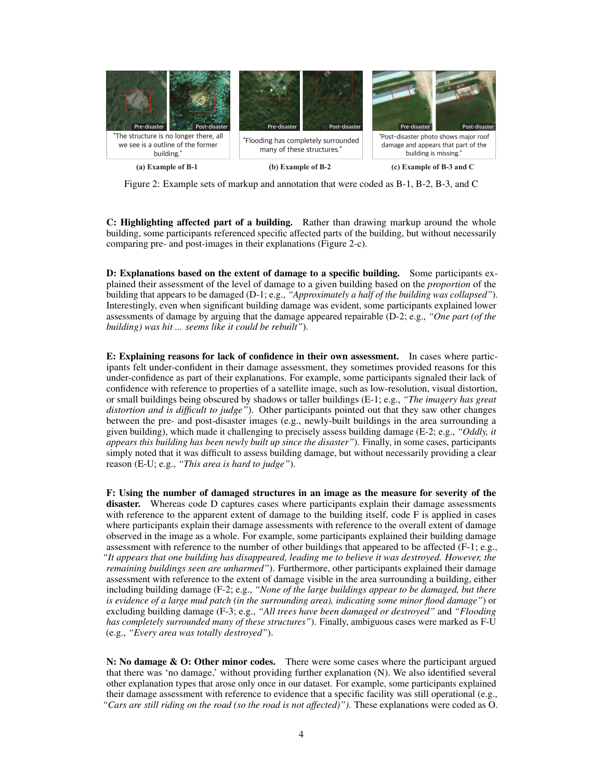<span id="page-3-0"></span>

Figure 2: Example sets of markup and annotation that were coded as B-1, B-2, B-3, and C

C: Highlighting affected part of a building. Rather than drawing markup around the whole building, some participants referenced specific affected parts of the building, but without necessarily comparing pre- and post-images in their explanations (Figure [2-](#page-3-0)c).

D: Explanations based on the extent of damage to a specific building. Some participants explained their assessment of the level of damage to a given building based on the *proportion* of the building that appears to be damaged (D-1; e.g., *"Approximately a half of the building was collapsed"*). Interestingly, even when significant building damage was evident, some participants explained lower assessments of damage by arguing that the damage appeared repairable (D-2; e.g., *"One part (of the building) was hit ... seems like it could be rebuilt"*).

E: Explaining reasons for lack of confidence in their own assessment. In cases where participants felt under-confident in their damage assessment, they sometimes provided reasons for this under-confidence as part of their explanations. For example, some participants signaled their lack of confidence with reference to properties of a satellite image, such as low-resolution, visual distortion, or small buildings being obscured by shadows or taller buildings (E-1; e.g., *"The imagery has great distortion and is difficult to judge"*). Other participants pointed out that they saw other changes between the pre- and post-disaster images (e.g., newly-built buildings in the area surrounding a given building), which made it challenging to precisely assess building damage (E-2; e.g., *"Oddly, it appears this building has been newly built up since the disaster"*). Finally, in some cases, participants simply noted that it was difficult to assess building damage, but without necessarily providing a clear reason (E-U; e.g., *"This area is hard to judge"*).

F: Using the number of damaged structures in an image as the measure for severity of the disaster. Whereas code D captures cases where participants explain their damage assessments with reference to the apparent extent of damage to the building itself, code F is applied in cases where participants explain their damage assessments with reference to the overall extent of damage observed in the image as a whole. For example, some participants explained their building damage assessment with reference to the number of other buildings that appeared to be affected (F-1; e.g., *"It appears that one building has disappeared, leading me to believe it was destroyed. However, the remaining buildings seen are unharmed"*). Furthermore, other participants explained their damage assessment with reference to the extent of damage visible in the area surrounding a building, either including building damage (F-2; e.g., *"None of the large buildings appear to be damaged, but there is evidence of a large mud patch (in the surrounding area), indicating some minor flood damage"*) or excluding building damage (F-3; e.g., *"All trees have been damaged or destroyed"* and *"Flooding has completely surrounded many of these structures"*). Finally, ambiguous cases were marked as F-U (e.g., *"Every area was totally destroyed"*).

N: No damage  $\&$  O: Other minor codes. There were some cases where the participant argued that there was 'no damage,' without providing further explanation (N). We also identified several other explanation types that arose only once in our dataset. For example, some participants explained their damage assessment with reference to evidence that a specific facility was still operational (e.g., *"Cars are still riding on the road (so the road is not affected)")*. These explanations were coded as O.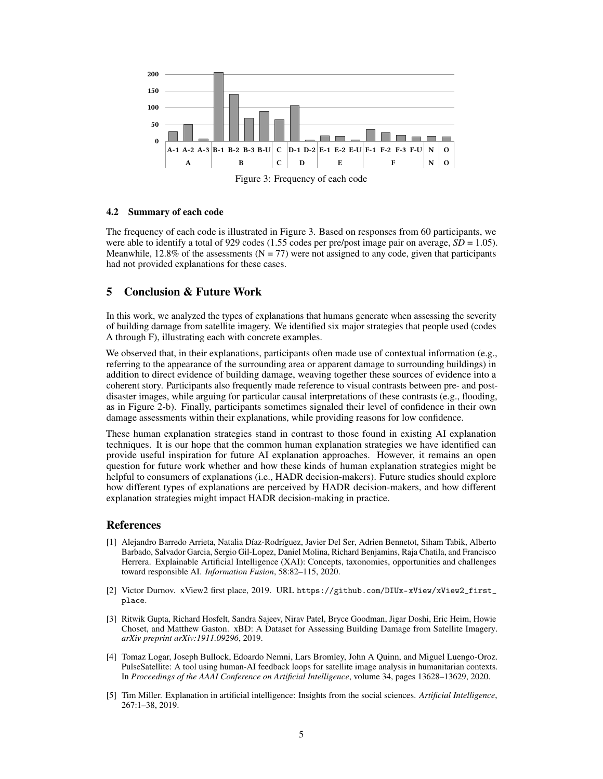<span id="page-4-5"></span>

Figure 3: Frequency of each code

#### 4.2 Summary of each code

The frequency of each code is illustrated in Figure [3.](#page-4-5) Based on responses from 60 participants, we were able to identify a total of 929 codes (1.55 codes per pre/post image pair on average,  $SD = 1.05$ ). Meanwhile, 12.8% of the assessments ( $N = 77$ ) were not assigned to any code, given that participants had not provided explanations for these cases.

# 5 Conclusion & Future Work

In this work, we analyzed the types of explanations that humans generate when assessing the severity of building damage from satellite imagery. We identified six major strategies that people used (codes A through F), illustrating each with concrete examples.

We observed that, in their explanations, participants often made use of contextual information (e.g., referring to the appearance of the surrounding area or apparent damage to surrounding buildings) in addition to direct evidence of building damage, weaving together these sources of evidence into a coherent story. Participants also frequently made reference to visual contrasts between pre- and postdisaster images, while arguing for particular causal interpretations of these contrasts (e.g., flooding, as in Figure [2-](#page-3-0)b). Finally, participants sometimes signaled their level of confidence in their own damage assessments within their explanations, while providing reasons for low confidence.

These human explanation strategies stand in contrast to those found in existing AI explanation techniques. It is our hope that the common human explanation strategies we have identified can provide useful inspiration for future AI explanation approaches. However, it remains an open question for future work whether and how these kinds of human explanation strategies might be helpful to consumers of explanations (i.e., HADR decision-makers). Future studies should explore how different types of explanations are perceived by HADR decision-makers, and how different explanation strategies might impact HADR decision-making in practice.

### References

- <span id="page-4-3"></span>[1] Alejandro Barredo Arrieta, Natalia Díaz-Rodríguez, Javier Del Ser, Adrien Bennetot, Siham Tabik, Alberto Barbado, Salvador Garcia, Sergio Gil-Lopez, Daniel Molina, Richard Benjamins, Raja Chatila, and Francisco Herrera. Explainable Artificial Intelligence (XAI): Concepts, taxonomies, opportunities and challenges toward responsible AI. *Information Fusion*, 58:82–115, 2020.
- <span id="page-4-1"></span>[2] Victor Durnov. xView2 first place, 2019. URL [https://github.com/DIUx-xView/xView2\\_first\\_](https://github.com/DIUx-xView/xView2_first_place) [place](https://github.com/DIUx-xView/xView2_first_place).
- <span id="page-4-0"></span>[3] Ritwik Gupta, Richard Hosfelt, Sandra Sajeev, Nirav Patel, Bryce Goodman, Jigar Doshi, Eric Heim, Howie Choset, and Matthew Gaston. xBD: A Dataset for Assessing Building Damage from Satellite Imagery. *arXiv preprint arXiv:1911.09296*, 2019.
- <span id="page-4-2"></span>[4] Tomaz Logar, Joseph Bullock, Edoardo Nemni, Lars Bromley, John A Quinn, and Miguel Luengo-Oroz. PulseSatellite: A tool using human-AI feedback loops for satellite image analysis in humanitarian contexts. In *Proceedings of the AAAI Conference on Artificial Intelligence*, volume 34, pages 13628–13629, 2020.
- <span id="page-4-4"></span>[5] Tim Miller. Explanation in artificial intelligence: Insights from the social sciences. *Artificial Intelligence*, 267:1–38, 2019.